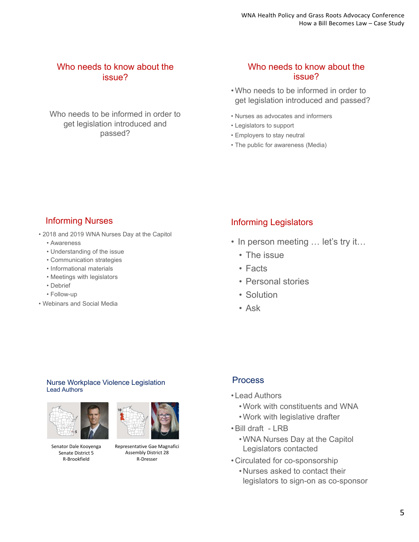### Who needs to know about the issue?

Who needs to be informed in order to get legislation introduced and passed?

### Who needs to know about the issue?

- Who needs to be informed in order to get legislation introduced and passed?
- Nurses as advocates and informers
- Legislators to support
- Employers to stay neutral
- The public for awareness (Media)

## Informing Nurses

- 2018 and 2019 WNA Nurses Day at the Capitol
	- Awareness
	- Understanding of the issue
	- Communication strategies
	- Informational materials
	- Meetings with legislators
	- Debrief
	- Follow-up
- Webinars and Social Media

## Informing Legislators

- In person meeting ... let's try it...
	- The issue
	- Facts
	- Personal stories
	- Solution
	- Ask

### Nurse Workplace Violence Legislation Lead Authors



Senator Dale Kooyenga Senate District 5 R‐Brookfield



Representative Gae Magnafici Assembly District 28 R‐Dresser

### Process

- Lead Authors
	- Work with constituents and WNA
	- Work with legislative drafter
- Bill draft LRB
	- WNA Nurses Day at the Capitol Legislators contacted
- Circulated for co-sponsorship
	- Nurses asked to contact their legislators to sign-on as co-sponsor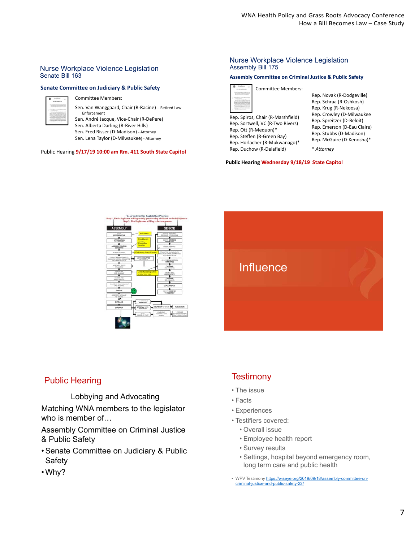#### Nurse Workplace Violence Legislation Senate Bill 163

### **Senate Committee on Judiciary & Public Safety** Committee Members:



Sen. Van Wanggaard, Chair (R‐Racine) – Retired Law

Enforcement Sen. André Jacque, Vice‐Chair (R‐DePere) Sen. Alberta Darling (R‐River Hills) Sen. Fred Risser (D‐Madison) ‐ Attorney Sen. Lena Taylor (D‐Milwaukee) ‐ Attorney

Public Hearing **9/17/19 10:00 am Rm. 411 South State Capitol**

#### Nurse Workplace Violence Legislation Assembly Bill 175

#### **Assembly Committee on Criminal Justice & Public Safety**

| <b>Committee Members:</b>         |
|-----------------------------------|
|                                   |
| Rep. Spiros, Chair (R-Marshfield) |

Rep. Sortwell, VC (R‐Two Rivers) Rep. Ott (R‐Mequon)\* Rep. Steffen (R‐Green Bay) Rep. Horlacher (R‐Mukwanago)\* Rep. Duchow (R‐Delafield)

Rep. Novak (R‐Dodgeville) Rep. Schraa (R‐Oshkosh) Rep. Krug (R‐Nekoosa) Rep. Crowley (D‐Milwaukee Rep. Spreitzer (D‐Beloit) Rep. Emerson (D‐Eau Claire) Rep. Stubbs (D‐Madison) Rep. McGuire (D‐Kenosha)\* \* *Attorney*

**Public Hearing Wednesday 9/18/19 State Capitol**



### Public Hearing

Lobbying and Advocating

Matching WNA members to the legislator who is member of…

Assembly Committee on Criminal Justice & Public Safety

- Senate Committee on Judiciary & Public Safety
- Why?

### **Testimony**

- The issue
- Facts
- Experiences
- Testifiers covered:
	- Overall issue
	- Employee health report
	- Survey results
	- Settings, hospital beyond emergency room, long term care and public health
- WPV Testimony https://wiseye.org/2019/09/18/assembly-committee-oncriminal-justice-and-public-safety-22/